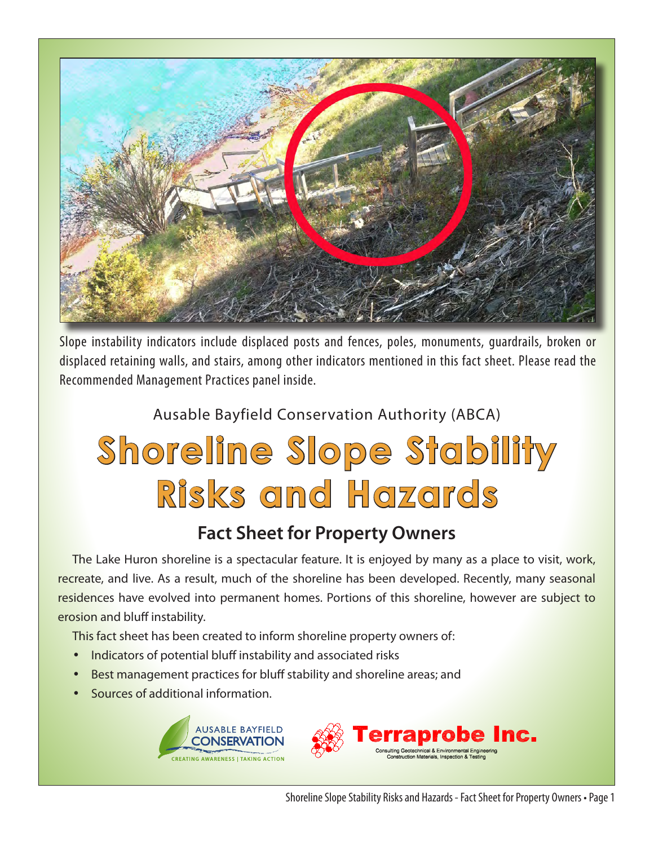

Slope instability indicators include displaced posts and fences, poles, monuments, guardrails, broken or displaced retaining walls, and stairs, among other indicators mentioned in this fact sheet. Please read the Recommended Management Practices panel inside.

#### Ausable Bayfield Conservation Authority (ABCA)

# **Shoreline Slope Stability Risks and Hazards**

#### **Fact Sheet for Property Owners**

The Lake Huron shoreline is a spectacular feature. It is enjoyed by many as a place to visit, work, recreate, and live. As a result, much of the shoreline has been developed. Recently, many seasonal residences have evolved into permanent homes. Portions of this shoreline, however are subject to erosion and bluff instability.

This fact sheet has been created to inform shoreline property owners of:

- Indicators of potential bluff instability and associated risks
- Best management practices for bluff stability and shoreline areas; and
- Sources of additional information.



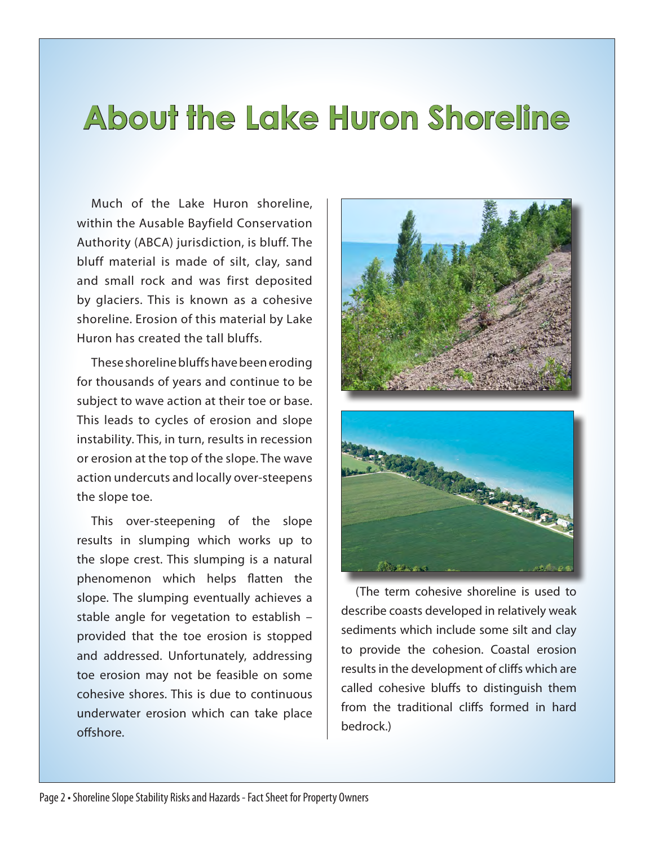## **About the Lake Huron Shoreline**

Much of the Lake Huron shoreline, within the Ausable Bayfield Conservation Authority (ABCA) jurisdiction, is bluff. The bluff material is made of silt, clay, sand and small rock and was first deposited by glaciers. This is known as a cohesive shoreline. Erosion of this material by Lake Huron has created the tall bluffs.

These shoreline bluffs have been eroding for thousands of years and continue to be subject to wave action at their toe or base. This leads to cycles of erosion and slope instability. This, in turn, results in recession or erosion at the top of the slope. The wave action undercuts and locally over-steepens the slope toe.

This over-steepening of the slope results in slumping which works up to the slope crest. This slumping is a natural phenomenon which helps flatten the slope. The slumping eventually achieves a stable angle for vegetation to establish – provided that the toe erosion is stopped and addressed. Unfortunately, addressing toe erosion may not be feasible on some cohesive shores. This is due to continuous underwater erosion which can take place offshore.



(The term cohesive shoreline is used to describe coasts developed in relatively weak sediments which include some silt and clay to provide the cohesion. Coastal erosion results in the development of cliffs which are called cohesive bluffs to distinguish them from the traditional cliffs formed in hard bedrock.)

Brothermo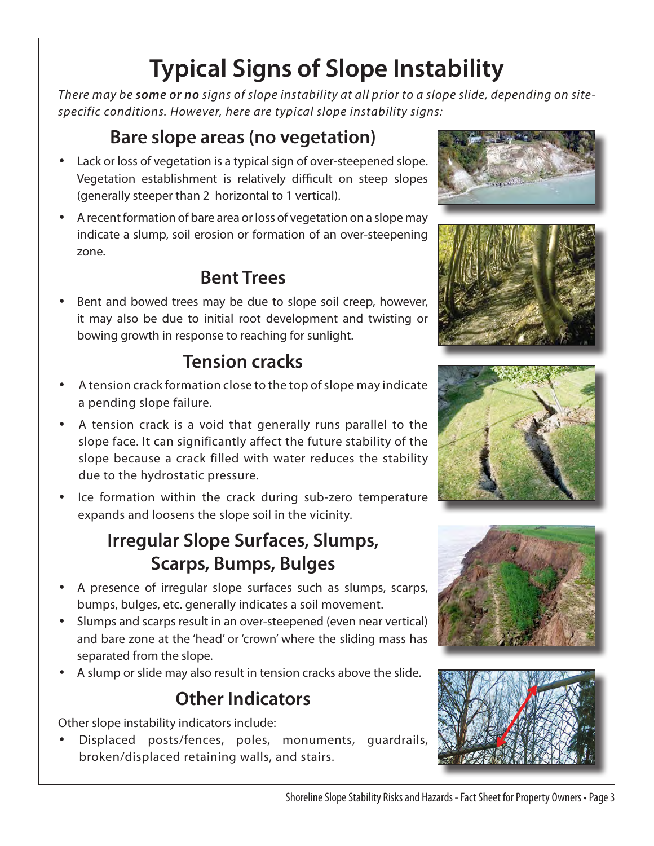## **Typical Signs of Slope Instability**

*There may be some or no signs of slope instability at all prior to a slope slide, depending on sitespecific conditions. However, here are typical slope instability signs:* 

### **Bare slope areas (no vegetation)**

- Lack or loss of vegetation is a typical sign of over-steepened slope. Vegetation establishment is relatively difficult on steep slopes (generally steeper than 2 horizontal to 1 vertical).
- A recent formation of bare area or loss of vegetation on a slope may indicate a slump, soil erosion or formation of an over-steepening zone.

#### **Bent Trees**

Bent and bowed trees may be due to slope soil creep, however, it may also be due to initial root development and twisting or bowing growth in response to reaching for sunlight.

### **Tension cracks**

- A tension crack formation close to the top of slope may indicate a pending slope failure.
- A tension crack is a void that generally runs parallel to the slope face. It can significantly affect the future stability of the slope because a crack filled with water reduces the stability due to the hydrostatic pressure.
- Ice formation within the crack during sub-zero temperature expands and loosens the slope soil in the vicinity.

#### **Irregular Slope Surfaces, Slumps, Scarps, Bumps, Bulges**

- A presence of irregular slope surfaces such as slumps, scarps, bumps, bulges, etc. generally indicates a soil movement.
- Slumps and scarps result in an over-steepened (even near vertical) and bare zone at the 'head' or 'crown' where the sliding mass has separated from the slope.
- A slump or slide may also result in tension cracks above the slide.

#### **Other Indicators**

Other slope instability indicators include:

• Displaced posts/fences, poles, monuments, guardrails, broken/displaced retaining walls, and stairs.









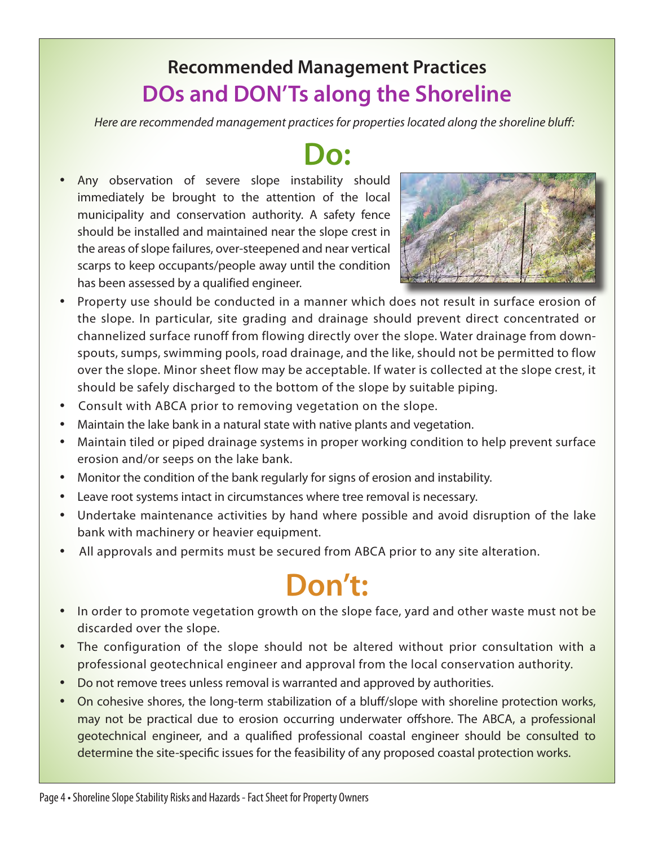### **Recommended Management Practices DOs and DON'Ts along the Shoreline**

*Here are recommended management practices for properties located along the shoreline bluff:*

## **Do:**

• Any observation of severe slope instability should immediately be brought to the attention of the local municipality and conservation authority. A safety fence should be installed and maintained near the slope crest in the areas of slope failures, over-steepened and near vertical scarps to keep occupants/people away until the condition has been assessed by a qualified engineer.



- Property use should be conducted in a manner which does not result in surface erosion of the slope. In particular, site grading and drainage should prevent direct concentrated or channelized surface runoff from flowing directly over the slope. Water drainage from downspouts, sumps, swimming pools, road drainage, and the like, should not be permitted to flow over the slope. Minor sheet flow may be acceptable. If water is collected at the slope crest, it should be safely discharged to the bottom of the slope by suitable piping.
- Consult with ABCA prior to removing vegetation on the slope.
- Maintain the lake bank in a natural state with native plants and vegetation.
- Maintain tiled or piped drainage systems in proper working condition to help prevent surface erosion and/or seeps on the lake bank.
- Monitor the condition of the bank regularly for signs of erosion and instability.
- Leave root systems intact in circumstances where tree removal is necessary.
- Undertake maintenance activities by hand where possible and avoid disruption of the lake bank with machinery or heavier equipment.
- All approvals and permits must be secured from ABCA prior to any site alteration.

## **Don't:**

- In order to promote vegetation growth on the slope face, yard and other waste must not be discarded over the slope.
- The configuration of the slope should not be altered without prior consultation with a professional geotechnical engineer and approval from the local conservation authority.
- Do not remove trees unless removal is warranted and approved by authorities.
- On cohesive shores, the long-term stabilization of a bluff/slope with shoreline protection works, may not be practical due to erosion occurring underwater offshore. The ABCA, a professional geotechnical engineer, and a qualified professional coastal engineer should be consulted to determine the site-specific issues for the feasibility of any proposed coastal protection works.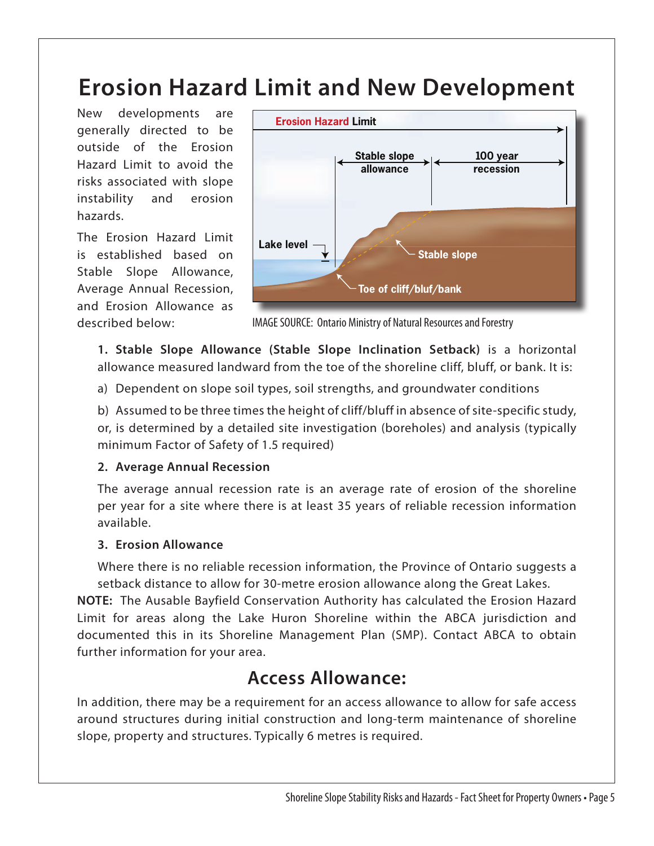## **Erosion Hazard Limit and New Development**

New developments are generally directed to be outside of the Erosion Hazard Limit to avoid the risks associated with slope instability and erosion hazards.

The Erosion Hazard Limit is established based on Stable Slope Allowance, Average Annual Recession, and Erosion Allowance as described below:



IMAGE SOURCE: Ontario Ministry of Natural Resources and Forestry

• **1. Stable Slope Allowance (Stable Slope Inclination Setback)** is a horizontal allowance measured landward from the toe of the shoreline cliff, bluff, or bank. It is:

• a) Dependent on slope soil types, soil strengths, and groundwater conditions

• b) Assumed to be three times the height of cliff/bluff in absence of site-specific study, or, is determined by a detailed site investigation (boreholes) and analysis (typically minimum Factor of Safety of 1.5 required)

#### • **2. Average Annual Recession**

The average annual recession rate is an average rate of erosion of the shoreline per year for a site where there is at least 35 years of reliable recession information available.

#### • **3. Erosion Allowance**

• Where there is no reliable recession information, the Province of Ontario suggests a setback distance to allow for 30-metre erosion allowance along the Great Lakes.

**NOTE:** The Ausable Bayfield Conservation Authority has calculated the Erosion Hazard Limit for areas along the Lake Huron Shoreline within the ABCA jurisdiction and documented this in its Shoreline Management Plan (SMP). Contact ABCA to obtain further information for your area.

#### **Access Allowance:**

In addition, there may be a requirement for an access allowance to allow for safe access around structures during initial construction and long-term maintenance of shoreline slope, property and structures. Typically 6 metres is required.